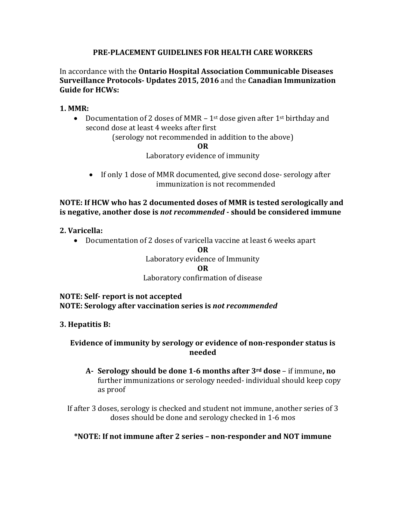# **PRE-PLACEMENT GUIDELINES FOR HEALTH CARE WORKERS**

In accordance with the **Ontario Hospital Association Communicable Diseases Surveillance Protocols- Updates 2015, 2016** and the **Canadian Immunization Guide for HCWs:**

### **1. MMR:**

• Documentation of 2 doses of MMR  $-1$ <sup>st</sup> dose given after 1<sup>st</sup> birthday and second dose at least 4 weeks after first

(serology not recommended in addition to the above)

**OR**

Laboratory evidence of immunity

• If only 1 dose of MMR documented, give second dose-serology after immunization is not recommended

# **NOTE: If HCW who has 2 documented doses of MMR is tested serologically and is negative, another dose is** *not recommended* **- should be considered immune**

#### **2. Varicella:**

• Documentation of 2 doses of varicella vaccine at least 6 weeks apart

#### **OR**

Laboratory evidence of Immunity

#### **OR**

# Laboratory confirmation of disease

#### **NOTE: Self- report is not accepted NOTE: Serology after vaccination series is** *not recommended*

# **3. Hepatitis B:**

# **Evidence of immunity by serology or evidence of non-responder status is needed**

**A- Serology should be done 1-6 months after 3rd dose** – if immune**, no** further immunizations or serology needed- individual should keep copy as proof

If after 3 doses, serology is checked and student not immune, another series of 3 doses should be done and serology checked in 1-6 mos

# **\*NOTE: If not immune after 2 series – non-responder and NOT immune**